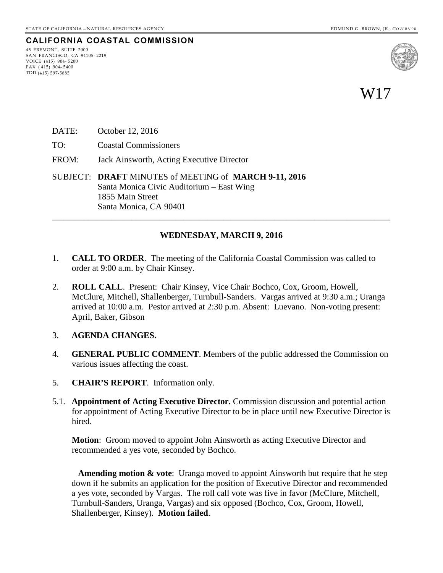### **CALIFORNIA COASTAL COMMISSION**

45 FREMONT, SUITE 2000 SAN FRANCISCO, CA 94105- 2219 VOICE (415) 904- 5200 FAX ( 415) 904- 5400 TDD (415) 597-5885



W17

- DATE: October 12, 2016
- TO: Coastal Commissioners
- FROM: Jack Ainsworth, Acting Executive Director
- SUBJECT: **DRAFT** MINUTES of MEETING of **MARCH 9-11, 2016** Santa Monica Civic Auditorium – East Wing 1855 Main Street Santa Monica, CA 90401

#### **WEDNESDAY, MARCH 9, 2016**

\_\_\_\_\_\_\_\_\_\_\_\_\_\_\_\_\_\_\_\_\_\_\_\_\_\_\_\_\_\_\_\_\_\_\_\_\_\_\_\_\_\_\_\_\_\_\_\_\_\_\_\_\_\_\_\_\_\_\_\_\_\_\_\_\_\_\_\_\_\_\_\_\_\_\_\_\_\_\_\_\_\_\_\_\_

- 1. **CALL TO ORDER**. The meeting of the California Coastal Commission was called to order at 9:00 a.m. by Chair Kinsey.
- 2. **ROLL CALL**. Present: Chair Kinsey, Vice Chair Bochco, Cox, Groom, Howell, McClure, Mitchell, Shallenberger, Turnbull-Sanders. Vargas arrived at 9:30 a.m.; Uranga arrived at 10:00 a.m. Pestor arrived at 2:30 p.m. Absent: Luevano. Non-voting present: April, Baker, Gibson

#### 3. **AGENDA CHANGES.**

- 4. **GENERAL PUBLIC COMMENT**. Members of the public addressed the Commission on various issues affecting the coast.
- 5. **CHAIR'S REPORT**. Information only.
- 5.1. **Appointment of Acting Executive Director.** Commission discussion and potential action for appointment of Acting Executive Director to be in place until new Executive Director is hired.

**Motion**: Groom moved to appoint John Ainsworth as acting Executive Director and recommended a yes vote, seconded by Bochco.

**Amending motion & vote**: Uranga moved to appoint Ainsworth but require that he step down if he submits an application for the position of Executive Director and recommended a yes vote, seconded by Vargas. The roll call vote was five in favor (McClure, Mitchell, Turnbull-Sanders, Uranga, Vargas) and six opposed (Bochco, Cox, Groom, Howell, Shallenberger, Kinsey). **Motion failed**.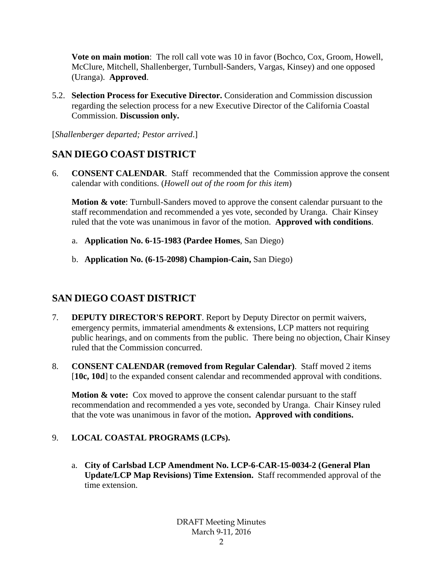**Vote on main motion**: The roll call vote was 10 in favor (Bochco, Cox, Groom, Howell, McClure, Mitchell, Shallenberger, Turnbull-Sanders, Vargas, Kinsey) and one opposed (Uranga). **Approved**.

5.2. **Selection Process for Executive Director.** Consideration and Commission discussion regarding the selection process for a new Executive Director of the California Coastal Commission. **Discussion only.**

[*Shallenberger departed; Pestor arrived*.]

# **SAN DIEGO COAST DISTRICT**

6. **CONSENT CALENDAR**. Staff recommended that the Commission approve the consent calendar with conditions. (*Howell out of the room for this item*)

**Motion & vote**: Turnbull-Sanders moved to approve the consent calendar pursuant to the staff recommendation and recommended a yes vote, seconded by Uranga. Chair Kinsey ruled that the vote was unanimous in favor of the motion. **Approved with conditions**.

- a. **Application No. 6-15-1983 (Pardee Homes**, San Diego)
- b. **Application No. (6-15-2098) Champion-Cain,** San Diego)

## **SAN DIEGO COAST DISTRICT**

- 7. **DEPUTY DIRECTOR'S REPORT**. Report by Deputy Director on permit waivers, emergency permits, immaterial amendments & extensions, LCP matters not requiring public hearings, and on comments from the public. There being no objection, Chair Kinsey ruled that the Commission concurred.
- 8. **CONSENT CALENDAR (removed from Regular Calendar)**. Staff moved 2 items [10c, 10d] to the expanded consent calendar and recommended approval with conditions.

**Motion & vote:** Cox moved to approve the consent calendar pursuant to the staff recommendation and recommended a yes vote, seconded by Uranga. Chair Kinsey ruled that the vote was unanimous in favor of the motion**. Approved with conditions.**

### 9. **LOCAL COASTAL PROGRAMS (LCPs).**

a. **City of Carlsbad LCP Amendment No. LCP-6-CAR-15-0034-2 (General Plan Update/LCP Map Revisions) Time Extension.** Staff recommended approval of the time extension.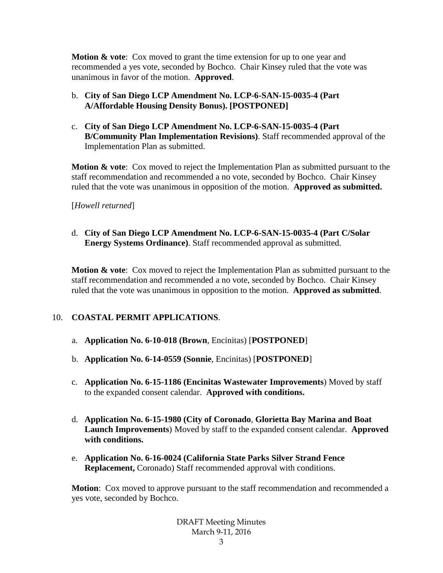**Motion & vote:** Cox moved to grant the time extension for up to one year and recommended a yes vote, seconded by Bochco. Chair Kinsey ruled that the vote was unanimous in favor of the motion. **Approved**.

- b. **City of San Diego LCP Amendment No. LCP-6-SAN-15-0035-4 (Part A/Affordable Housing Density Bonus). [POSTPONED]**
- c. **City of San Diego LCP Amendment No. LCP-6-SAN-15-0035-4 (Part B/Community Plan Implementation Revisions)**. Staff recommended approval of the Implementation Plan as submitted.

**Motion & vote**: Cox moved to reject the Implementation Plan as submitted pursuant to the staff recommendation and recommended a no vote, seconded by Bochco. Chair Kinsey ruled that the vote was unanimous in opposition of the motion. **Approved as submitted.**

[*Howell returned*]

d. **City of San Diego LCP Amendment No. LCP-6-SAN-15-0035-4 (Part C/Solar Energy Systems Ordinance)**. Staff recommended approval as submitted.

**Motion & vote**: Cox moved to reject the Implementation Plan as submitted pursuant to the staff recommendation and recommended a no vote, seconded by Bochco. Chair Kinsey ruled that the vote was unanimous in opposition to the motion. **Approved as submitted**.

### 10. **COASTAL PERMIT APPLICATIONS**.

- a. **Application No. 6-10-018 (Brown**, Encinitas) [**POSTPONED**]
- b. **Application No. 6-14-0559 (Sonnie**, Encinitas) [**POSTPONED**]
- c. **Application No. 6-15-1186 (Encinitas Wastewater Improvements**) Moved by staff to the expanded consent calendar. **Approved with conditions.**
- d. **Application No. 6-15-1980 (City of Coronado**, **Glorietta Bay Marina and Boat Launch Improvements**) Moved by staff to the expanded consent calendar. **Approved with conditions.**
- e. **Application No. 6-16-0024 (California State Parks Silver Strand Fence Replacement,** Coronado) Staff recommended approval with conditions.

**Motion**: Cox moved to approve pursuant to the staff recommendation and recommended a yes vote, seconded by Bochco.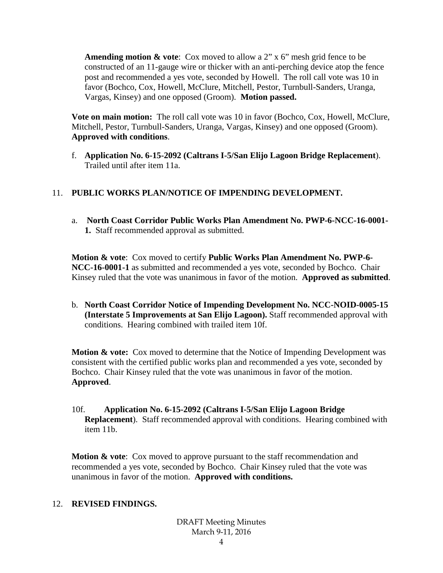**Amending motion & vote**: Cox moved to allow a 2" x 6" mesh grid fence to be constructed of an 11-gauge wire or thicker with an anti-perching device atop the fence post and recommended a yes vote, seconded by Howell. The roll call vote was 10 in favor (Bochco, Cox, Howell, McClure, Mitchell, Pestor, Turnbull-Sanders, Uranga, Vargas, Kinsey) and one opposed (Groom). **Motion passed.** 

**Vote on main motion:** The roll call vote was 10 in favor (Bochco, Cox, Howell, McClure, Mitchell, Pestor, Turnbull-Sanders, Uranga, Vargas, Kinsey) and one opposed (Groom). **Approved with conditions**.

f. **Application No. 6-15-2092 (Caltrans I-5/San Elijo Lagoon Bridge Replacement**). Trailed until after item 11a.

### 11. **PUBLIC WORKS PLAN/NOTICE OF IMPENDING DEVELOPMENT.**

a. **North Coast Corridor Public Works Plan Amendment No. PWP-6-NCC-16-0001- 1.** Staff recommended approval as submitted.

**Motion & vote**: Cox moved to certify **Public Works Plan Amendment No. PWP-6- NCC-16-0001-1** as submitted and recommended a yes vote, seconded by Bochco. Chair Kinsey ruled that the vote was unanimous in favor of the motion. **Approved as submitted**.

b. **North Coast Corridor Notice of Impending Development No. NCC-NOID-0005-15 (Interstate 5 Improvements at San Elijo Lagoon).** Staff recommended approval with conditions. Hearing combined with trailed item 10f.

**Motion & vote:** Cox moved to determine that the Notice of Impending Development was consistent with the certified public works plan and recommended a yes vote, seconded by Bochco. Chair Kinsey ruled that the vote was unanimous in favor of the motion. **Approved**.

10f. **Application No. 6-15-2092 (Caltrans I-5/San Elijo Lagoon Bridge Replacement**). Staff recommended approval with conditions. Hearing combined with item 11b.

**Motion & vote:** Cox moved to approve pursuant to the staff recommendation and recommended a yes vote, seconded by Bochco. Chair Kinsey ruled that the vote was unanimous in favor of the motion. **Approved with conditions.**

### 12. **REVISED FINDINGS.**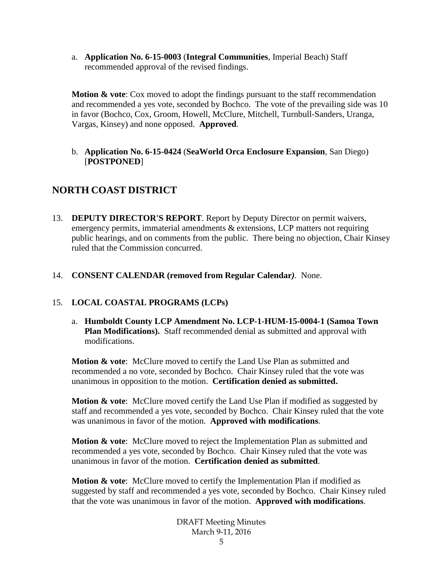a. **Application No. 6-15-0003** (**Integral Communities**, Imperial Beach) Staff recommended approval of the revised findings.

**Motion & vote:** Cox moved to adopt the findings pursuant to the staff recommendation and recommended a yes vote, seconded by Bochco. The vote of the prevailing side was 10 in favor (Bochco, Cox, Groom, Howell, McClure, Mitchell, Turnbull-Sanders, Uranga, Vargas, Kinsey) and none opposed. **Approved**.

### b. **Application No. 6-15-0424** (**SeaWorld Orca Enclosure Expansion**, San Diego) [**POSTPONED**]

# **NORTH COAST DISTRICT**

13. **DEPUTY DIRECTOR'S REPORT**. Report by Deputy Director on permit waivers, emergency permits, immaterial amendments & extensions, LCP matters not requiring public hearings, and on comments from the public. There being no objection, Chair Kinsey ruled that the Commission concurred.

### 14. **CONSENT CALENDAR (removed from Regular Calendar***).* None.

### 15. **LOCAL COASTAL PROGRAMS (LCPs)**

a. **Humboldt County LCP Amendment No. LCP-1-HUM-15-0004-1 (Samoa Town Plan Modifications).** Staff recommended denial as submitted and approval with modifications.

**Motion & vote:** McClure moved to certify the Land Use Plan as submitted and recommended a no vote, seconded by Bochco. Chair Kinsey ruled that the vote was unanimous in opposition to the motion. **Certification denied as submitted.**

**Motion & vote:** McClure moved certify the Land Use Plan if modified as suggested by staff and recommended a yes vote, seconded by Bochco. Chair Kinsey ruled that the vote was unanimous in favor of the motion. **Approved with modifications**.

**Motion & vote**: McClure moved to reject the Implementation Plan as submitted and recommended a yes vote, seconded by Bochco. Chair Kinsey ruled that the vote was unanimous in favor of the motion. **Certification denied as submitted**.

**Motion & vote:** McClure moved to certify the Implementation Plan if modified as suggested by staff and recommended a yes vote, seconded by Bochco. Chair Kinsey ruled that the vote was unanimous in favor of the motion. **Approved with modifications**.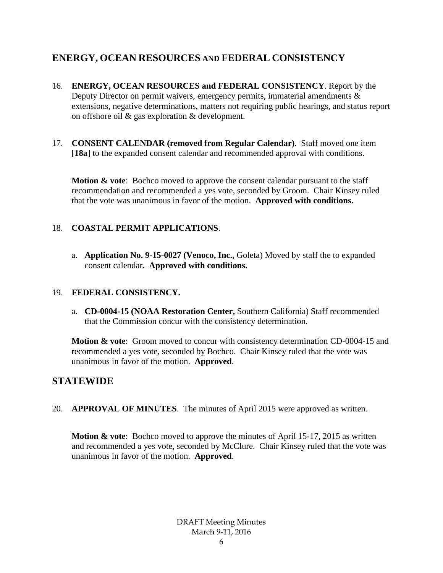## **ENERGY, OCEAN RESOURCES AND FEDERAL CONSISTENCY**

- 16. **ENERGY, OCEAN RESOURCES and FEDERAL CONSISTENCY**. Report by the Deputy Director on permit waivers, emergency permits, immaterial amendments & extensions, negative determinations, matters not requiring public hearings, and status report on offshore oil & gas exploration & development.
- 17. **CONSENT CALENDAR (removed from Regular Calendar)**. Staff moved one item [18a] to the expanded consent calendar and recommended approval with conditions.

**Motion & vote:** Bochco moved to approve the consent calendar pursuant to the staff recommendation and recommended a yes vote, seconded by Groom. Chair Kinsey ruled that the vote was unanimous in favor of the motion. **Approved with conditions.**

### 18. **COASTAL PERMIT APPLICATIONS**.

a. **Application No. 9-15-0027 (Venoco, Inc.,** Goleta) Moved by staff the to expanded consent calendar**. Approved with conditions.**

### 19. **FEDERAL CONSISTENCY.**

a. **CD-0004-15 (NOAA Restoration Center,** Southern California) Staff recommended that the Commission concur with the consistency determination.

**Motion & vote**: Groom moved to concur with consistency determination CD-0004-15 and recommended a yes vote, seconded by Bochco. Chair Kinsey ruled that the vote was unanimous in favor of the motion. **Approved**.

## **STATEWIDE**

20. **APPROVAL OF MINUTES**. The minutes of April 2015 were approved as written.

**Motion & vote**: Bochco moved to approve the minutes of April 15-17, 2015 as written and recommended a yes vote, seconded by McClure. Chair Kinsey ruled that the vote was unanimous in favor of the motion. **Approved**.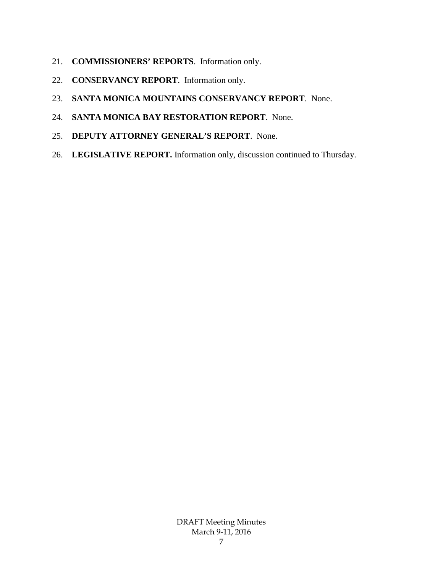- 21. **COMMISSIONERS' REPORTS**. Information only.
- 22. **CONSERVANCY REPORT**. Information only.
- 23. **SANTA MONICA MOUNTAINS CONSERVANCY REPORT**. None.
- 24. **SANTA MONICA BAY RESTORATION REPORT**. None.
- 25. **DEPUTY ATTORNEY GENERAL'S REPORT**. None.
- 26. **LEGISLATIVE REPORT.** Information only, discussion continued to Thursday.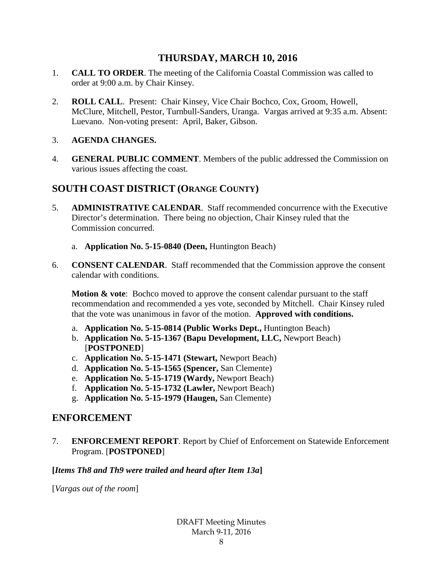## **THURSDAY, MARCH 10, 2016**

- 1. **CALL TO ORDER**. The meeting of the California Coastal Commission was called to order at 9:00 a.m. by Chair Kinsey.
- 2. **ROLL CALL**. Present: Chair Kinsey, Vice Chair Bochco, Cox, Groom, Howell, McClure, Mitchell, Pestor, Turnbull-Sanders, Uranga. Vargas arrived at 9:35 a.m. Absent: Luevano. Non-voting present: April, Baker, Gibson.
- 3. **AGENDA CHANGES.**
- 4. **GENERAL PUBLIC COMMENT**. Members of the public addressed the Commission on various issues affecting the coast.

## **SOUTH COAST DISTRICT (ORANGE COUNTY)**

- 5. **ADMINISTRATIVE CALENDAR**. Staff recommended concurrence with the Executive Director's determination. There being no objection, Chair Kinsey ruled that the Commission concurred.
	- a. **Application No. 5-15-0840 (Deen,** Huntington Beach)
- 6. **CONSENT CALENDAR**. Staff recommended that the Commission approve the consent calendar with conditions.

**Motion & vote:** Bochco moved to approve the consent calendar pursuant to the staff recommendation and recommended a yes vote, seconded by Mitchell. Chair Kinsey ruled that the vote was unanimous in favor of the motion. **Approved with conditions.**

- a. **Application No. 5-15-0814 (Public Works Dept.,** Huntington Beach)
- b. **Application No. 5-15-1367 (Bapu Development, LLC,** Newport Beach) [**POSTPONED**]
- c. **Application No. 5-15-1471 (Stewart,** Newport Beach)
- d. **Application No. 5-15-1565 (Spencer,** San Clemente)
- e. **Application No. 5-15-1719 (Wardy,** Newport Beach)
- f. **Application No. 5-15-1732 (Lawler,** Newport Beach)
- g. **Application No. 5-15-1979 (Haugen,** San Clemente)

## **ENFORCEMENT**

7. **ENFORCEMENT REPORT**. Report by Chief of Enforcement on Statewide Enforcement Program. [**POSTPONED**]

### **[***Items Th8 and Th9 were trailed and heard after Item 13a***]**

[*Vargas out of the room*]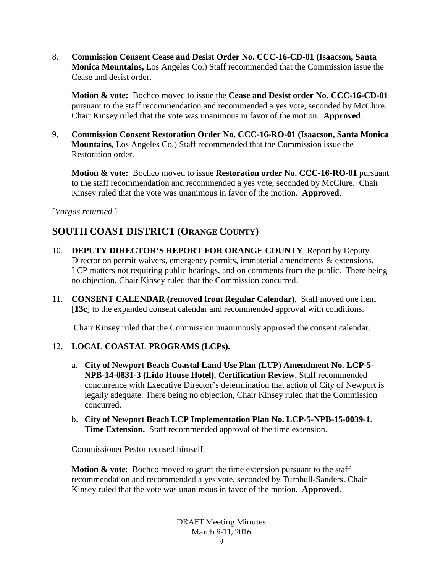8. **Commission Consent Cease and Desist Order No. CCC-16-CD-01 (Isaacson, Santa Monica Mountains,** Los Angeles Co.) Staff recommended that the Commission issue the Cease and desist order.

**Motion & vote:** Bochco moved to issue the **Cease and Desist order No. CCC-16-CD-01**  pursuant to the staff recommendation and recommended a yes vote, seconded by McClure. Chair Kinsey ruled that the vote was unanimous in favor of the motion. **Approved**.

9. **Commission Consent Restoration Order No. CCC-16-RO-01 (Isaacson, Santa Monica Mountains,** Los Angeles Co.) Staff recommended that the Commission issue the Restoration order.

**Motion & vote:** Bochco moved to issue **Restoration order No. CCC-16-RO-01** pursuant to the staff recommendation and recommended a yes vote, seconded by McClure. Chair Kinsey ruled that the vote was unanimous in favor of the motion. **Approved**.

[*Vargas returned*.]

## **SOUTH COAST DISTRICT (ORANGE COUNTY)**

- 10. **DEPUTY DIRECTOR'S REPORT FOR ORANGE COUNTY**. Report by Deputy Director on permit waivers, emergency permits, immaterial amendments & extensions, LCP matters not requiring public hearings, and on comments from the public. There being no objection, Chair Kinsey ruled that the Commission concurred.
- 11. **CONSENT CALENDAR (removed from Regular Calendar)**. Staff moved one item [**13c**] to the expanded consent calendar and recommended approval with conditions.

Chair Kinsey ruled that the Commission unanimously approved the consent calendar.

### 12. **LOCAL COASTAL PROGRAMS (LCPs).**

- a. **City of Newport Beach Coastal Land Use Plan (LUP) Amendment No. LCP-5- NPB-14-0831-3 (Lido House Hotel). Certification Review.** Staff recommended concurrence with Executive Director's determination that action of City of Newport is legally adequate. There being no objection, Chair Kinsey ruled that the Commission concurred.
- b. **City of Newport Beach LCP Implementation Plan No. LCP-5-NPB-15-0039-1. Time Extension.** Staff recommended approval of the time extension.

Commissioner Pestor recused himself.

**Motion & vote:** Bochco moved to grant the time extension pursuant to the staff recommendation and recommended a yes vote, seconded by Turnbull-Sanders. Chair Kinsey ruled that the vote was unanimous in favor of the motion. **Approved**.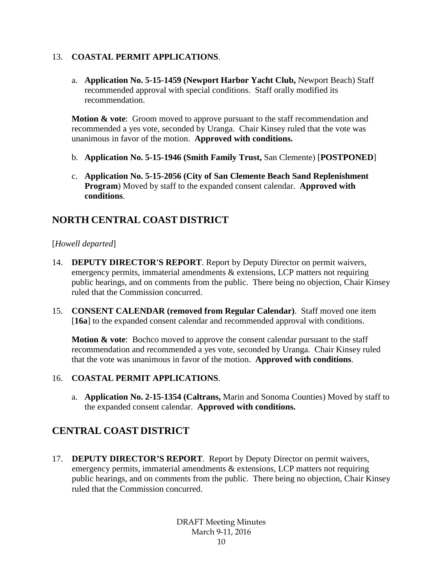### 13. **COASTAL PERMIT APPLICATIONS**.

a. **Application No. 5-15-1459 (Newport Harbor Yacht Club,** Newport Beach) Staff recommended approval with special conditions. Staff orally modified its recommendation.

**Motion & vote:** Groom moved to approve pursuant to the staff recommendation and recommended a yes vote, seconded by Uranga. Chair Kinsey ruled that the vote was unanimous in favor of the motion. **Approved with conditions.**

- b. **Application No. 5-15-1946 (Smith Family Trust,** San Clemente) [**POSTPONED**]
- c. **Application No. 5-15-2056 (City of San Clemente Beach Sand Replenishment Program**) Moved by staff to the expanded consent calendar. **Approved with conditions**.

## **NORTH CENTRAL COAST DISTRICT**

### [*Howell departed*]

- 14. **DEPUTY DIRECTOR'S REPORT**. Report by Deputy Director on permit waivers, emergency permits, immaterial amendments & extensions, LCP matters not requiring public hearings, and on comments from the public. There being no objection, Chair Kinsey ruled that the Commission concurred.
- 15. **CONSENT CALENDAR (removed from Regular Calendar)**. Staff moved one item [**16a**] to the expanded consent calendar and recommended approval with conditions.

**Motion & vote**: Bochco moved to approve the consent calendar pursuant to the staff recommendation and recommended a yes vote, seconded by Uranga. Chair Kinsey ruled that the vote was unanimous in favor of the motion. **Approved with conditions**.

### 16. **COASTAL PERMIT APPLICATIONS**.

a. **Application No. 2-15-1354 (Caltrans,** Marin and Sonoma Counties) Moved by staff to the expanded consent calendar. **Approved with conditions.**

# **CENTRAL COAST DISTRICT**

17. **DEPUTY DIRECTOR'S REPORT**. Report by Deputy Director on permit waivers, emergency permits, immaterial amendments & extensions, LCP matters not requiring public hearings, and on comments from the public. There being no objection, Chair Kinsey ruled that the Commission concurred.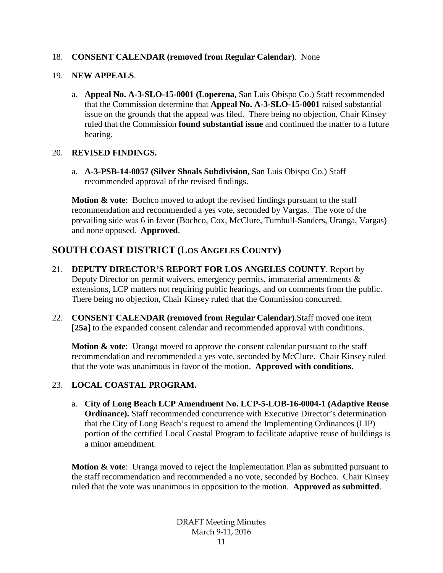#### 18. **CONSENT CALENDAR (removed from Regular Calendar)**. None

#### 19. **NEW APPEALS**.

a. **Appeal No. A-3-SLO-15-0001 (Loperena,** San Luis Obispo Co.) Staff recommended that the Commission determine that **Appeal No. A-3-SLO-15-0001** raised substantial issue on the grounds that the appeal was filed. There being no objection, Chair Kinsey ruled that the Commission **found substantial issue** and continued the matter to a future hearing.

#### 20. **REVISED FINDINGS.**

a. **A-3-PSB-14-0057 (Silver Shoals Subdivision,** San Luis Obispo Co.) Staff recommended approval of the revised findings.

**Motion & vote:** Bochco moved to adopt the revised findings pursuant to the staff recommendation and recommended a yes vote, seconded by Vargas. The vote of the prevailing side was 6 in favor (Bochco, Cox, McClure, Turnbull-Sanders, Uranga, Vargas) and none opposed. **Approved**.

## **SOUTH COAST DISTRICT (LOS ANGELES COUNTY)**

- 21. **DEPUTY DIRECTOR'S REPORT FOR LOS ANGELES COUNTY**. Report by Deputy Director on permit waivers, emergency permits, immaterial amendments  $\&$ extensions, LCP matters not requiring public hearings, and on comments from the public. There being no objection, Chair Kinsey ruled that the Commission concurred.
- 22. **CONSENT CALENDAR (removed from Regular Calendar)**.Staff moved one item [25a] to the expanded consent calendar and recommended approval with conditions.

**Motion & vote**: Uranga moved to approve the consent calendar pursuant to the staff recommendation and recommended a yes vote, seconded by McClure. Chair Kinsey ruled that the vote was unanimous in favor of the motion. **Approved with conditions.**

### 23. **LOCAL COASTAL PROGRAM.**

a. **City of Long Beach LCP Amendment No. LCP-5-LOB-16-0004-1 (Adaptive Reuse Ordinance).** Staff recommended concurrence with Executive Director's determination that the City of Long Beach's request to amend the Implementing Ordinances (LIP) portion of the certified Local Coastal Program to facilitate adaptive reuse of buildings is a minor amendment.

**Motion & vote:** Uranga moved to reject the Implementation Plan as submitted pursuant to the staff recommendation and recommended a no vote, seconded by Bochco. Chair Kinsey ruled that the vote was unanimous in opposition to the motion. **Approved as submitted**.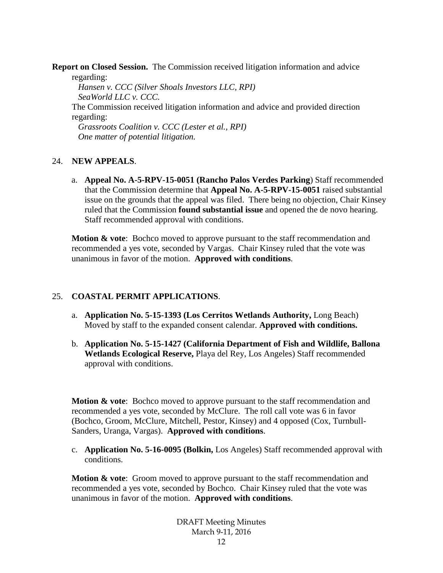**Report on Closed Session.** The Commission received litigation information and advice regarding:

*Hansen v. CCC (Silver Shoals Investors LLC, RPI) SeaWorld LLC v. CCC.*  The Commission received litigation information and advice and provided direction regarding: *Grassroots Coalition v. CCC (Lester et al., RPI) One matter of potential litigation.*

#### 24. **NEW APPEALS**.

a. **Appeal No. A-5-RPV-15-0051 (Rancho Palos Verdes Parking**) Staff recommended that the Commission determine that **Appeal No. A-5-RPV-15-0051** raised substantial issue on the grounds that the appeal was filed. There being no objection, Chair Kinsey ruled that the Commission **found substantial issue** and opened the de novo hearing. Staff recommended approval with conditions.

**Motion & vote:** Bochco moved to approve pursuant to the staff recommendation and recommended a yes vote, seconded by Vargas. Chair Kinsey ruled that the vote was unanimous in favor of the motion. **Approved with conditions**.

### 25. **COASTAL PERMIT APPLICATIONS**.

- a. **Application No. 5-15-1393 (Los Cerritos Wetlands Authority,** Long Beach) Moved by staff to the expanded consent calendar. **Approved with conditions.**
- b. **Application No. 5-15-1427 (California Department of Fish and Wildlife, Ballona Wetlands Ecological Reserve,** Playa del Rey, Los Angeles) Staff recommended approval with conditions.

**Motion & vote:** Bochco moved to approve pursuant to the staff recommendation and recommended a yes vote, seconded by McClure. The roll call vote was 6 in favor (Bochco, Groom, McClure, Mitchell, Pestor, Kinsey) and 4 opposed (Cox, Turnbull-Sanders, Uranga, Vargas). **Approved with conditions**.

c. **Application No. 5-16-0095 (Bolkin,** Los Angeles) Staff recommended approval with conditions.

**Motion & vote**: Groom moved to approve pursuant to the staff recommendation and recommended a yes vote, seconded by Bochco. Chair Kinsey ruled that the vote was unanimous in favor of the motion. **Approved with conditions**.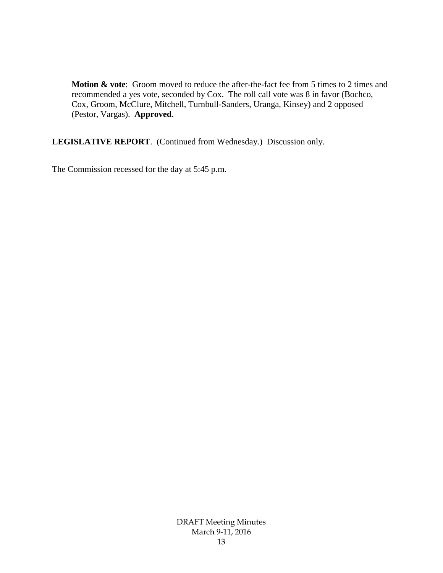**Motion & vote**: Groom moved to reduce the after-the-fact fee from 5 times to 2 times and recommended a yes vote, seconded by Cox. The roll call vote was 8 in favor (Bochco, Cox, Groom, McClure, Mitchell, Turnbull-Sanders, Uranga, Kinsey) and 2 opposed (Pestor, Vargas). **Approved**.

**LEGISLATIVE REPORT**. (Continued from Wednesday.) Discussion only.

The Commission recessed for the day at 5:45 p.m.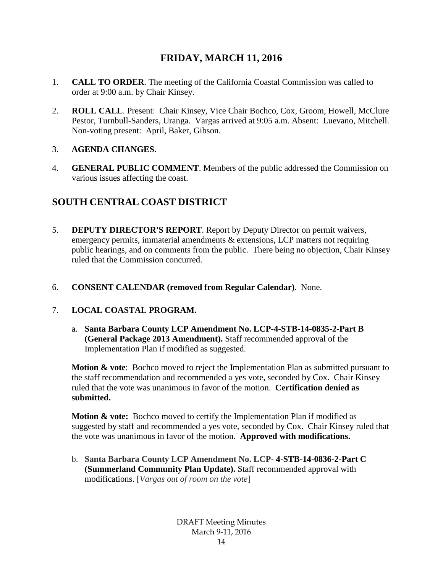## **FRIDAY, MARCH 11, 2016**

- 1. **CALL TO ORDER**. The meeting of the California Coastal Commission was called to order at 9:00 a.m. by Chair Kinsey.
- 2. **ROLL CALL**. Present: Chair Kinsey, Vice Chair Bochco, Cox, Groom, Howell, McClure Pestor, Turnbull-Sanders, Uranga. Vargas arrived at 9:05 a.m. Absent: Luevano, Mitchell. Non-voting present: April, Baker, Gibson.
- 3. **AGENDA CHANGES.**
- 4. **GENERAL PUBLIC COMMENT**. Members of the public addressed the Commission on various issues affecting the coast.

# **SOUTH CENTRAL COAST DISTRICT**

- 5. **DEPUTY DIRECTOR'S REPORT**. Report by Deputy Director on permit waivers, emergency permits, immaterial amendments & extensions, LCP matters not requiring public hearings, and on comments from the public. There being no objection, Chair Kinsey ruled that the Commission concurred.
- 6. **CONSENT CALENDAR (removed from Regular Calendar)**. None.

### 7. **LOCAL COASTAL PROGRAM.**

a. **Santa Barbara County LCP Amendment No. LCP-4-STB-14-0835-2-Part B (General Package 2013 Amendment).** Staff recommended approval of the Implementation Plan if modified as suggested.

**Motion & vote**: Bochco moved to reject the Implementation Plan as submitted pursuant to the staff recommendation and recommended a yes vote, seconded by Cox. Chair Kinsey ruled that the vote was unanimous in favor of the motion. **Certification denied as submitted.**

**Motion & vote:** Bochco moved to certify the Implementation Plan if modified as suggested by staff and recommended a yes vote, seconded by Cox. Chair Kinsey ruled that the vote was unanimous in favor of the motion. **Approved with modifications.**

b. **Santa Barbara County LCP Amendment No. LCP- 4-STB-14-0836-2-Part C (Summerland Community Plan Update).** Staff recommended approval with modifications. [*Vargas out of room on the vote*]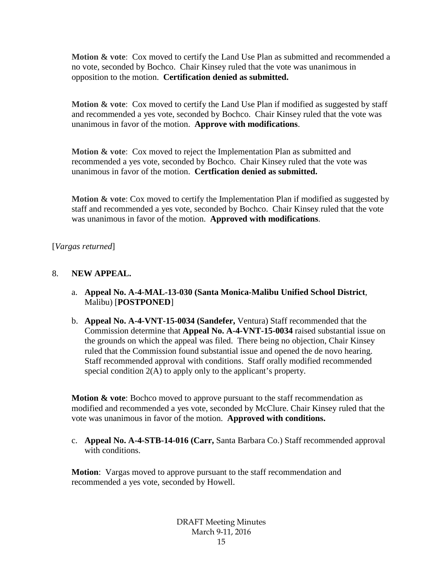**Motion & vote**: Cox moved to certify the Land Use Plan as submitted and recommended a no vote, seconded by Bochco. Chair Kinsey ruled that the vote was unanimous in opposition to the motion. **Certification denied as submitted.**

**Motion & vote**: Cox moved to certify the Land Use Plan if modified as suggested by staff and recommended a yes vote, seconded by Bochco. Chair Kinsey ruled that the vote was unanimous in favor of the motion. **Approve with modifications**.

**Motion & vote**: Cox moved to reject the Implementation Plan as submitted and recommended a yes vote, seconded by Bochco. Chair Kinsey ruled that the vote was unanimous in favor of the motion. **Certfication denied as submitted.**

**Motion & vote**: Cox moved to certify the Implementation Plan if modified as suggested by staff and recommended a yes vote, seconded by Bochco. Chair Kinsey ruled that the vote was unanimous in favor of the motion. **Approved with modifications**.

### [*Vargas returned*]

### 8. **NEW APPEAL.**

- a. **Appeal No. A-4-MAL-13-030 (Santa Monica-Malibu Unified School District**, Malibu) [**POSTPONED**]
- b. **Appeal No. A-4-VNT-15-0034 (Sandefer,** Ventura) Staff recommended that the Commission determine that **Appeal No. A-4-VNT-15-0034** raised substantial issue on the grounds on which the appeal was filed. There being no objection, Chair Kinsey ruled that the Commission found substantial issue and opened the de novo hearing. Staff recommended approval with conditions. Staff orally modified recommended special condition 2(A) to apply only to the applicant's property.

**Motion & vote**: Bochco moved to approve pursuant to the staff recommendation as modified and recommended a yes vote, seconded by McClure. Chair Kinsey ruled that the vote was unanimous in favor of the motion. **Approved with conditions.**

c. **Appeal No. A-4-STB-14-016 (Carr,** Santa Barbara Co.) Staff recommended approval with conditions.

**Motion**: Vargas moved to approve pursuant to the staff recommendation and recommended a yes vote, seconded by Howell.